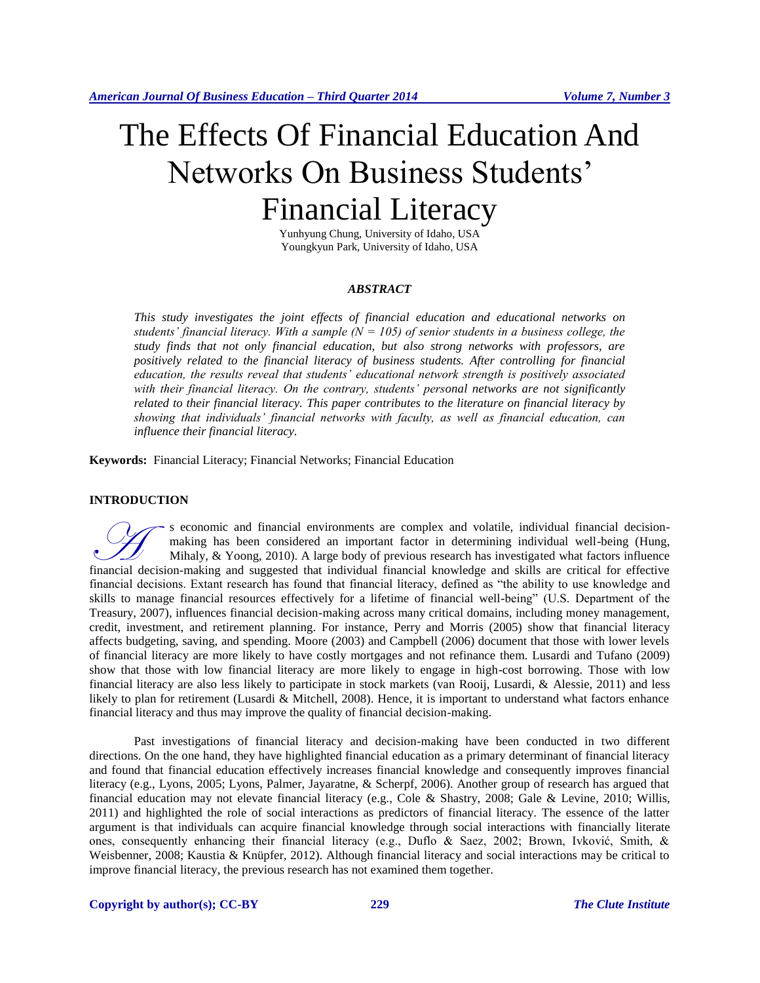# The Effects Of Financial Education And Networks On Business Students' Financial Literacy

Yunhyung Chung, University of Idaho, USA Youngkyun Park, University of Idaho, USA

# *ABSTRACT*

*This study investigates the joint effects of financial education and educational networks on students' financial literacy. With a sample (* $N = 105$ *) of senior students in a business college, the study finds that not only financial education, but also strong networks with professors, are positively related to the financial literacy of business students. After controlling for financial education, the results reveal that students' educational network strength is positively associated with their financial literacy. On the contrary, students' personal networks are not significantly related to their financial literacy. This paper contributes to the literature on financial literacy by showing that individuals' financial networks with faculty, as well as financial education, can influence their financial literacy.*

**Keywords:** Financial Literacy; Financial Networks; Financial Education

# **INTRODUCTION**

s economic and financial environments are complex and volatile, individual financial decisionmaking has been considered an important factor in determining individual well-being (Hung, Mihaly, & Yoong, 2010). A large body of previous research has investigated what factors influence Financial decision-making has been considered an important factor in determining individual financial decision-<br>Mihaly, & Yoong, 2010). A large body of previous research has investigated what factors influence<br>financial de financial decisions. Extant research has found that financial literacy, defined as "the ability to use knowledge and skills to manage financial resources effectively for a lifetime of financial well-being" (U.S. Department of the Treasury, 2007), influences financial decision-making across many critical domains, including money management, credit, investment, and retirement planning. For instance, Perry and Morris (2005) show that financial literacy affects budgeting, saving, and spending. Moore (2003) and Campbell (2006) document that those with lower levels of financial literacy are more likely to have costly mortgages and not refinance them. Lusardi and Tufano (2009) show that those with low financial literacy are more likely to engage in high-cost borrowing. Those with low financial literacy are also less likely to participate in stock markets (van Rooij, Lusardi, & Alessie, 2011) and less likely to plan for retirement (Lusardi & Mitchell, 2008). Hence, it is important to understand what factors enhance financial literacy and thus may improve the quality of financial decision-making.

Past investigations of financial literacy and decision-making have been conducted in two different directions. On the one hand, they have highlighted financial education as a primary determinant of financial literacy and found that financial education effectively increases financial knowledge and consequently improves financial literacy (e.g., Lyons, 2005; Lyons, Palmer, Jayaratne, & Scherpf, 2006). Another group of research has argued that financial education may not elevate financial literacy (e.g., Cole & Shastry, 2008; Gale & Levine, 2010; Willis, 2011) and highlighted the role of social interactions as predictors of financial literacy. The essence of the latter argument is that individuals can acquire financial knowledge through social interactions with financially literate ones, consequently enhancing their financial literacy (e.g., Duflo & Saez, 2002; Brown, Ivković, Smith, & Weisbenner, 2008; Kaustia & Knüpfer, 2012). Although financial literacy and social interactions may be critical to improve financial literacy, the previous research has not examined them together.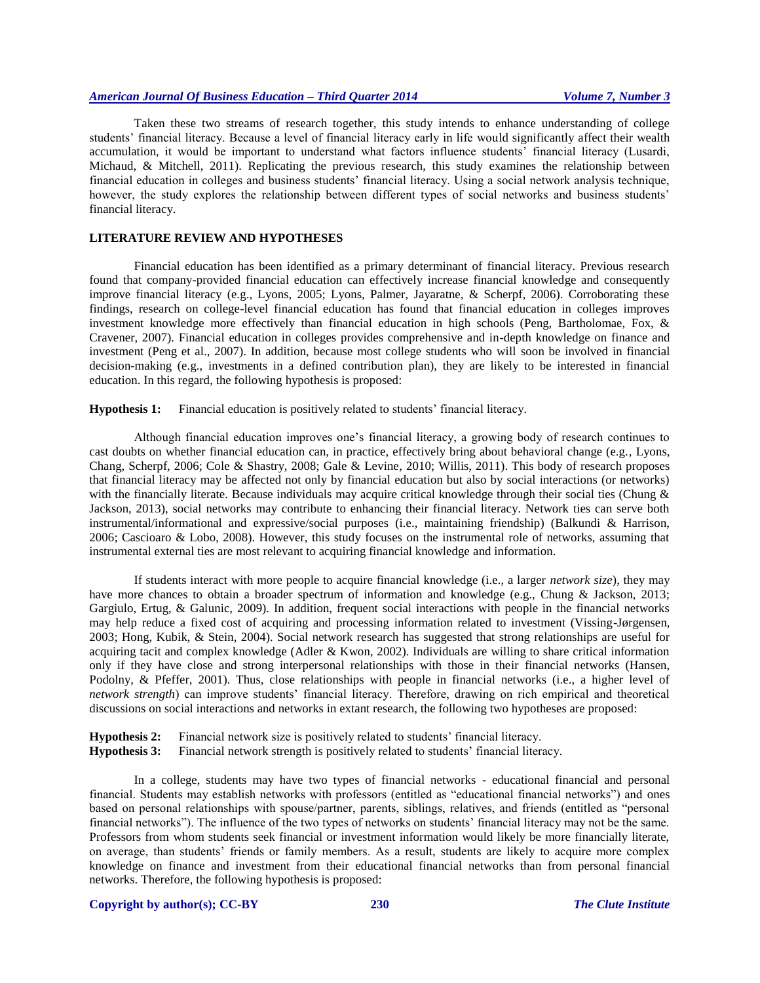# *American Journal Of Business Education – Third Quarter 2014 Volume 7, Number 3*

Taken these two streams of research together, this study intends to enhance understanding of college students' financial literacy. Because a level of financial literacy early in life would significantly affect their wealth accumulation, it would be important to understand what factors influence students' financial literacy (Lusardi, Michaud, & Mitchell, 2011). Replicating the previous research, this study examines the relationship between financial education in colleges and business students' financial literacy. Using a social network analysis technique, however, the study explores the relationship between different types of social networks and business students' financial literacy.

# **LITERATURE REVIEW AND HYPOTHESES**

Financial education has been identified as a primary determinant of financial literacy. Previous research found that company-provided financial education can effectively increase financial knowledge and consequently improve financial literacy (e.g., Lyons, 2005; Lyons, Palmer, Jayaratne, & Scherpf, 2006). Corroborating these findings, research on college-level financial education has found that financial education in colleges improves investment knowledge more effectively than financial education in high schools (Peng, Bartholomae, Fox, & Cravener, 2007). Financial education in colleges provides comprehensive and in-depth knowledge on finance and investment (Peng et al., 2007). In addition, because most college students who will soon be involved in financial decision-making (e.g., investments in a defined contribution plan), they are likely to be interested in financial education. In this regard, the following hypothesis is proposed:

**Hypothesis 1:** Financial education is positively related to students' financial literacy.

Although financial education improves one's financial literacy, a growing body of research continues to cast doubts on whether financial education can, in practice, effectively bring about behavioral change (e.g., Lyons, Chang, Scherpf, 2006; Cole & Shastry, 2008; Gale & Levine, 2010; Willis, 2011). This body of research proposes that financial literacy may be affected not only by financial education but also by social interactions (or networks) with the financially literate. Because individuals may acquire critical knowledge through their social ties (Chung & Jackson, 2013), social networks may contribute to enhancing their financial literacy. Network ties can serve both instrumental/informational and expressive/social purposes (i.e., maintaining friendship) (Balkundi & Harrison, 2006; Cascioaro & Lobo, 2008). However, this study focuses on the instrumental role of networks, assuming that instrumental external ties are most relevant to acquiring financial knowledge and information.

If students interact with more people to acquire financial knowledge (i.e., a larger *network size*), they may have more chances to obtain a broader spectrum of information and knowledge (e.g., Chung & Jackson, 2013; Gargiulo, Ertug, & Galunic, 2009). In addition, frequent social interactions with people in the financial networks may help reduce a fixed cost of acquiring and processing information related to investment (Vissing-Jørgensen, 2003; Hong, Kubik, & Stein, 2004). Social network research has suggested that strong relationships are useful for acquiring tacit and complex knowledge (Adler & Kwon, 2002). Individuals are willing to share critical information only if they have close and strong interpersonal relationships with those in their financial networks (Hansen, Podolny, & Pfeffer, 2001). Thus, close relationships with people in financial networks (i.e., a higher level of *network strength*) can improve students' financial literacy. Therefore, drawing on rich empirical and theoretical discussions on social interactions and networks in extant research, the following two hypotheses are proposed:

**Hypothesis 2:** Financial network size is positively related to students' financial literacy.

**Hypothesis 3:** Financial network strength is positively related to students' financial literacy.

In a college, students may have two types of financial networks - educational financial and personal financial. Students may establish networks with professors (entitled as "educational financial networks") and ones based on personal relationships with spouse/partner, parents, siblings, relatives, and friends (entitled as "personal financial networks"). The influence of the two types of networks on students' financial literacy may not be the same. Professors from whom students seek financial or investment information would likely be more financially literate, on average, than students' friends or family members. As a result, students are likely to acquire more complex knowledge on finance and investment from their educational financial networks than from personal financial networks. Therefore, the following hypothesis is proposed:

#### **Copyright by author(s)[; CC-BY](http://creativecommons.org/licenses/by/3.0/) 230** *[The Clute Institute](http://www.cluteinstitute.com/)*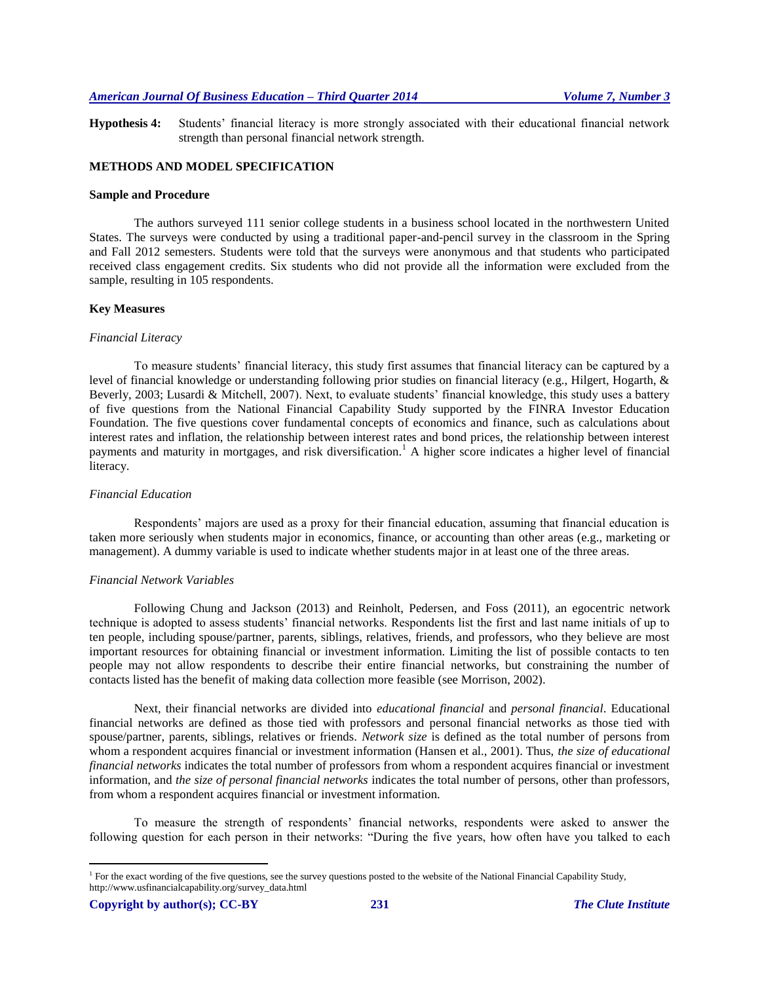**Hypothesis 4:** Students' financial literacy is more strongly associated with their educational financial network strength than personal financial network strength.

# **METHODS AND MODEL SPECIFICATION**

#### **Sample and Procedure**

The authors surveyed 111 senior college students in a business school located in the northwestern United States. The surveys were conducted by using a traditional paper-and-pencil survey in the classroom in the Spring and Fall 2012 semesters. Students were told that the surveys were anonymous and that students who participated received class engagement credits. Six students who did not provide all the information were excluded from the sample, resulting in 105 respondents.

#### **Key Measures**

#### *Financial Literacy*

To measure students' financial literacy, this study first assumes that financial literacy can be captured by a level of financial knowledge or understanding following prior studies on financial literacy (e.g., Hilgert, Hogarth, & Beverly, 2003; Lusardi & Mitchell, 2007). Next, to evaluate students' financial knowledge, this study uses a battery of five questions from the National Financial Capability Study supported by the FINRA Investor Education Foundation. The five questions cover fundamental concepts of economics and finance, such as calculations about interest rates and inflation, the relationship between interest rates and bond prices, the relationship between interest payments and maturity in mortgages, and risk diversification.<sup>1</sup> A higher score indicates a higher level of financial literacy.

#### *Financial Education*

Respondents' majors are used as a proxy for their financial education, assuming that financial education is taken more seriously when students major in economics, finance, or accounting than other areas (e.g., marketing or management). A dummy variable is used to indicate whether students major in at least one of the three areas.

#### *Financial Network Variables*

Following Chung and Jackson (2013) and Reinholt, Pedersen, and Foss (2011), an egocentric network technique is adopted to assess students' financial networks. Respondents list the first and last name initials of up to ten people, including spouse/partner, parents, siblings, relatives, friends, and professors, who they believe are most important resources for obtaining financial or investment information. Limiting the list of possible contacts to ten people may not allow respondents to describe their entire financial networks, but constraining the number of contacts listed has the benefit of making data collection more feasible (see Morrison, 2002).

Next, their financial networks are divided into *educational financial* and *personal financial*. Educational financial networks are defined as those tied with professors and personal financial networks as those tied with spouse/partner, parents, siblings, relatives or friends. *Network size* is defined as the total number of persons from whom a respondent acquires financial or investment information (Hansen et al., 2001). Thus, *the size of educational financial networks* indicates the total number of professors from whom a respondent acquires financial or investment information, and *the size of personal financial networks* indicates the total number of persons, other than professors, from whom a respondent acquires financial or investment information.

To measure the strength of respondents' financial networks, respondents were asked to answer the following question for each person in their networks: "During the five years, how often have you talked to each

 $\overline{a}$ 

<sup>&</sup>lt;sup>1</sup> For the exact wording of the five questions, see the survey questions posted to the website of the National Financial Capability Study, http://www.usfinancialcapability.org/survey\_data.html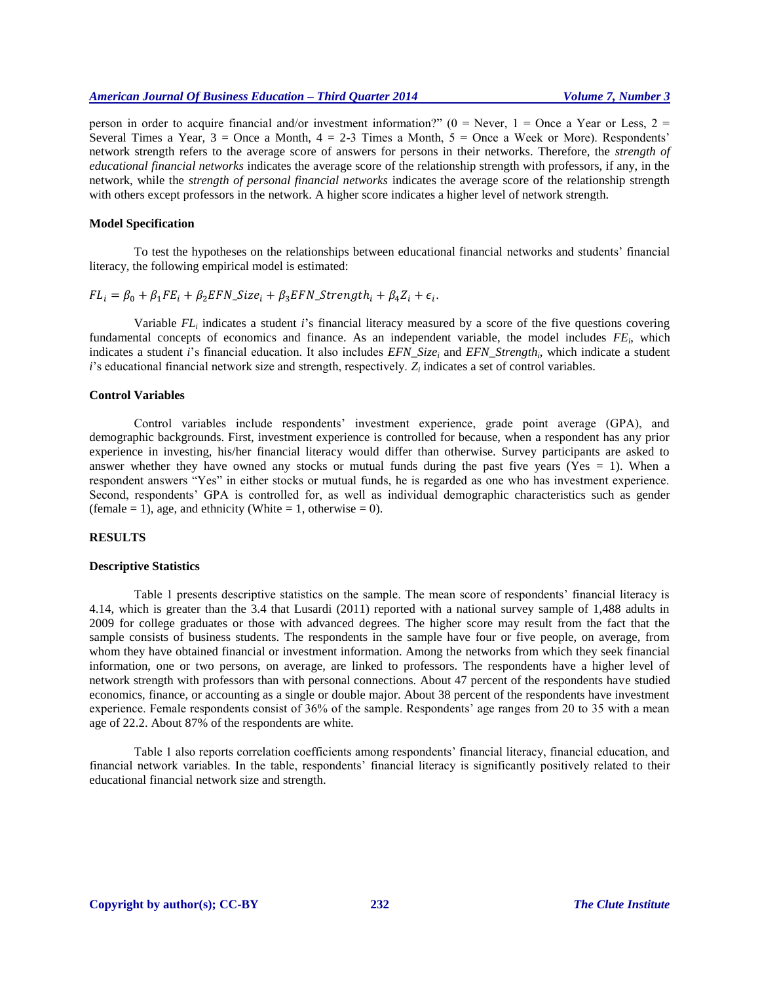person in order to acquire financial and/or investment information?" ( $0 =$  Never,  $1 =$  Once a Year or Less,  $2 =$ Several Times a Year,  $3 =$ Once a Month,  $4 = 2-3$  Times a Month,  $5 =$ Once a Week or More). Respondents' network strength refers to the average score of answers for persons in their networks. Therefore, the *strength of educational financial networks* indicates the average score of the relationship strength with professors, if any, in the network, while the *strength of personal financial networks* indicates the average score of the relationship strength with others except professors in the network. A higher score indicates a higher level of network strength.

# **Model Specification**

To test the hypotheses on the relationships between educational financial networks and students' financial literacy, the following empirical model is estimated:

 $FL_i = \beta_0 + \beta_1 FE_i + \beta_2 EFN\_Size_i + \beta_3 EFN\_Strongth_i + \beta_4 Z_i + \epsilon_i.$ 

Variable *FL<sup>i</sup>* indicates a student *i*'s financial literacy measured by a score of the five questions covering fundamental concepts of economics and finance. As an independent variable, the model includes *FE<sup>i</sup>* , which indicates a student *i*'s financial education. It also includes *EFN\_Size<sup>i</sup>* and *EFN\_Strength<sup>i</sup>* , which indicate a student *i*'s educational financial network size and strength, respectively. Z<sub>*i*</sub> indicates a set of control variables.

# **Control Variables**

Control variables include respondents' investment experience, grade point average (GPA), and demographic backgrounds. First, investment experience is controlled for because, when a respondent has any prior experience in investing, his/her financial literacy would differ than otherwise. Survey participants are asked to answer whether they have owned any stocks or mutual funds during the past five years (Yes  $= 1$ ). When a respondent answers "Yes" in either stocks or mutual funds, he is regarded as one who has investment experience. Second, respondents' GPA is controlled for, as well as individual demographic characteristics such as gender (female = 1), age, and ethnicity (White = 1, otherwise = 0).

#### **RESULTS**

#### **Descriptive Statistics**

Table 1 presents descriptive statistics on the sample. The mean score of respondents' financial literacy is 4.14, which is greater than the 3.4 that Lusardi (2011) reported with a national survey sample of 1,488 adults in 2009 for college graduates or those with advanced degrees. The higher score may result from the fact that the sample consists of business students. The respondents in the sample have four or five people, on average, from whom they have obtained financial or investment information. Among the networks from which they seek financial information, one or two persons, on average, are linked to professors. The respondents have a higher level of network strength with professors than with personal connections. About 47 percent of the respondents have studied economics, finance, or accounting as a single or double major. About 38 percent of the respondents have investment experience. Female respondents consist of 36% of the sample. Respondents' age ranges from 20 to 35 with a mean age of 22.2. About 87% of the respondents are white.

Table 1 also reports correlation coefficients among respondents' financial literacy, financial education, and financial network variables. In the table, respondents' financial literacy is significantly positively related to their educational financial network size and strength.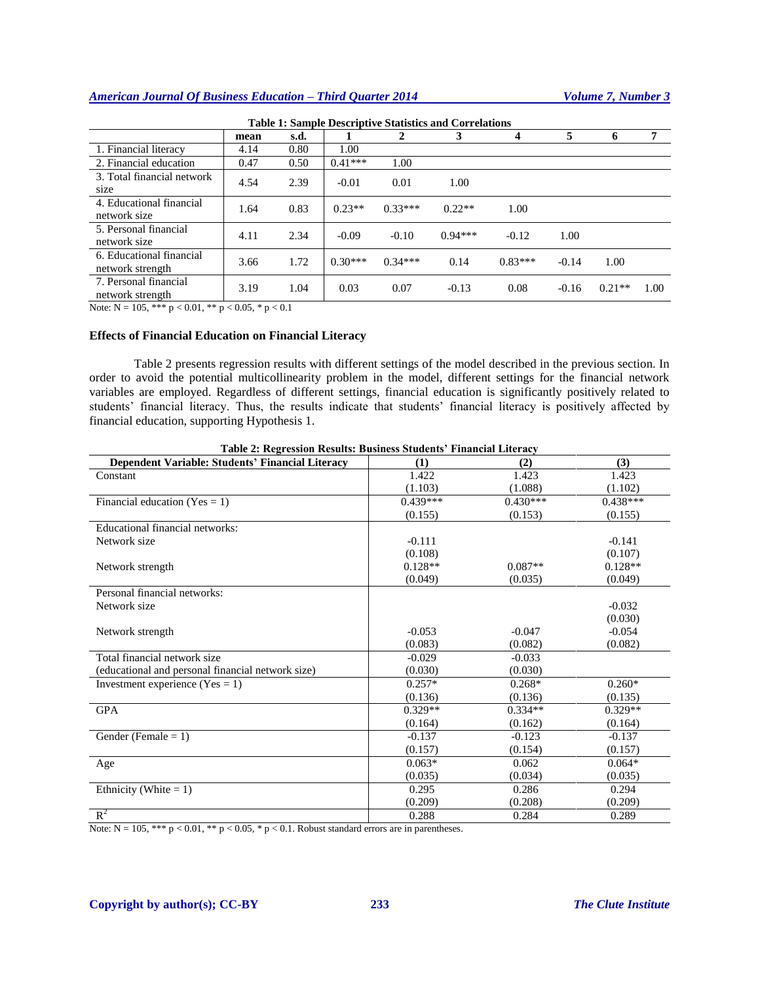# *American Journal Of Business Education – Third Quarter 2014 Volume 7, Number 3*

| <b>Table 1: Sample Descriptive Statistics and Correlations</b> |      |      |           |           |           |           |         |          |      |
|----------------------------------------------------------------|------|------|-----------|-----------|-----------|-----------|---------|----------|------|
|                                                                | mean | s.d. |           |           |           |           | 5       | 6        | 7    |
| 1. Financial literacy                                          | 4.14 | 0.80 | 1.00      |           |           |           |         |          |      |
| 2. Financial education                                         | 0.47 | 0.50 | $0.41***$ | 1.00      |           |           |         |          |      |
| 3. Total financial network<br>size                             | 4.54 | 2.39 | $-0.01$   | 0.01      | 1.00      |           |         |          |      |
| 4. Educational financial<br>network size                       | 1.64 | 0.83 | $0.23**$  | $0.33***$ | $0.22**$  | 1.00      |         |          |      |
| 5. Personal financial<br>network size                          | 4.11 | 2.34 | $-0.09$   | $-0.10$   | $0.94***$ | $-0.12$   | 1.00    |          |      |
| 6. Educational financial<br>network strength                   | 3.66 | 1.72 | $0.30***$ | $0.34***$ | 0.14      | $0.83***$ | $-0.14$ | 1.00     |      |
| 7. Personal financial<br>network strength                      | 3.19 | 1.04 | 0.03      | 0.07      | $-0.13$   | 0.08      | $-0.16$ | $0.21**$ | 1.00 |

Note:  $N = 105$ , \*\*\*  $p < 0.01$ , \*\*  $p < 0.05$ , \*  $p < 0.1$ 

# **Effects of Financial Education on Financial Literacy**

Table 2 presents regression results with different settings of the model described in the previous section. In order to avoid the potential multicollinearity problem in the model, different settings for the financial network variables are employed. Regardless of different settings, financial education is significantly positively related to students' financial literacy. Thus, the results indicate that students' financial literacy is positively affected by financial education, supporting Hypothesis 1.

| Dependent Variable: Students' Financial Literacy  | (1)        | (2)        | (3)        |
|---------------------------------------------------|------------|------------|------------|
| Constant                                          | 1.422      | 1.423      | 1.423      |
|                                                   | (1.103)    | (1.088)    | (1.102)    |
| Financial education (Yes = 1)                     | $0.439***$ | $0.430***$ | $0.438***$ |
|                                                   | (0.155)    | (0.153)    | (0.155)    |
| Educational financial networks:                   |            |            |            |
| Network size                                      | $-0.111$   |            | $-0.141$   |
|                                                   | (0.108)    |            | (0.107)    |
| Network strength                                  | $0.128**$  | $0.087**$  | $0.128**$  |
|                                                   | (0.049)    | (0.035)    | (0.049)    |
| Personal financial networks:                      |            |            |            |
| Network size                                      |            |            | $-0.032$   |
|                                                   |            |            | (0.030)    |
| Network strength                                  | $-0.053$   | $-0.047$   | $-0.054$   |
|                                                   | (0.083)    | (0.082)    | (0.082)    |
| Total financial network size                      | $-0.029$   | $-0.033$   |            |
| (educational and personal financial network size) | (0.030)    | (0.030)    |            |
| Investment experience (Yes = 1)                   | $0.257*$   | $0.268*$   | $0.260*$   |
|                                                   | (0.136)    | (0.136)    | (0.135)    |
| <b>GPA</b>                                        | $0.329**$  | $0.334**$  | $0.329**$  |
|                                                   | (0.164)    | (0.162)    | (0.164)    |
| Gender (Female $= 1$ )                            | $-0.137$   | $-0.123$   | $-0.137$   |
|                                                   | (0.157)    | (0.154)    | (0.157)    |
| Age                                               | $0.063*$   | 0.062      | $0.064*$   |
|                                                   | (0.035)    | (0.034)    | (0.035)    |
| Ethnicity (White $= 1$ )                          | 0.295      | 0.286      | 0.294      |
|                                                   | (0.209)    | (0.208)    | (0.209)    |
| $R^2$                                             | 0.288      | 0.284      | 0.289      |

| Table 2: Regression Results: Business Students' Financial Literacy |  |  |  |
|--------------------------------------------------------------------|--|--|--|
|                                                                    |  |  |  |

Note:  $N = 105$ , \*\*\*  $p < 0.01$ , \*\*  $p < 0.05$ , \*  $p < 0.1$ . Robust standard errors are in parentheses.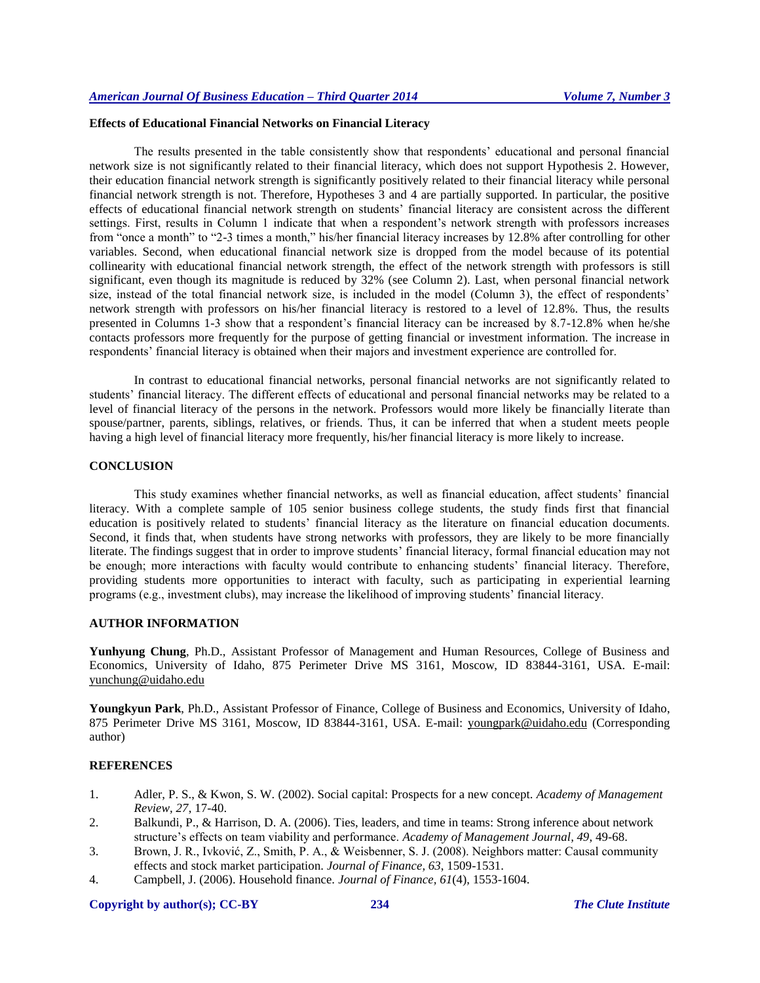# **Effects of Educational Financial Networks on Financial Literacy**

The results presented in the table consistently show that respondents' educational and personal financial network size is not significantly related to their financial literacy, which does not support Hypothesis 2. However, their education financial network strength is significantly positively related to their financial literacy while personal financial network strength is not. Therefore, Hypotheses 3 and 4 are partially supported. In particular, the positive effects of educational financial network strength on students' financial literacy are consistent across the different settings. First, results in Column 1 indicate that when a respondent's network strength with professors increases from "once a month" to "2-3 times a month," his/her financial literacy increases by 12.8% after controlling for other variables. Second, when educational financial network size is dropped from the model because of its potential collinearity with educational financial network strength, the effect of the network strength with professors is still significant, even though its magnitude is reduced by 32% (see Column 2). Last, when personal financial network size, instead of the total financial network size, is included in the model (Column 3), the effect of respondents' network strength with professors on his/her financial literacy is restored to a level of 12.8%. Thus, the results presented in Columns 1-3 show that a respondent's financial literacy can be increased by 8.7-12.8% when he/she contacts professors more frequently for the purpose of getting financial or investment information. The increase in respondents' financial literacy is obtained when their majors and investment experience are controlled for.

In contrast to educational financial networks, personal financial networks are not significantly related to students' financial literacy. The different effects of educational and personal financial networks may be related to a level of financial literacy of the persons in the network. Professors would more likely be financially literate than spouse/partner, parents, siblings, relatives, or friends. Thus, it can be inferred that when a student meets people having a high level of financial literacy more frequently, his/her financial literacy is more likely to increase.

# **CONCLUSION**

This study examines whether financial networks, as well as financial education, affect students' financial literacy. With a complete sample of 105 senior business college students, the study finds first that financial education is positively related to students' financial literacy as the literature on financial education documents. Second, it finds that, when students have strong networks with professors, they are likely to be more financially literate. The findings suggest that in order to improve students' financial literacy, formal financial education may not be enough; more interactions with faculty would contribute to enhancing students' financial literacy. Therefore, providing students more opportunities to interact with faculty, such as participating in experiential learning programs (e.g., investment clubs), may increase the likelihood of improving students' financial literacy.

# **AUTHOR INFORMATION**

**Yunhyung Chung**, Ph.D., Assistant Professor of Management and Human Resources, College of Business and Economics, University of Idaho, 875 Perimeter Drive MS 3161, Moscow, ID 83844-3161, USA. E-mail: [yunchung@uidaho.edu](mailto:yunchung@uidaho.edu)

**Youngkyun Park**, Ph.D., Assistant Professor of Finance, College of Business and Economics, University of Idaho, 875 Perimeter Drive MS 3161, Moscow, ID 83844-3161, USA. E-mail: [youngpark@uidaho.edu](mailto:youngpark@uidaho.edu) (Corresponding author)

### **REFERENCES**

- 1. Adler, P. S., & Kwon, S. W. (2002). Social capital: Prospects for a new concept. *Academy of Management Review, 27*, 17-40.
- 2. Balkundi, P., & Harrison, D. A. (2006). Ties, leaders, and time in teams: Strong inference about network structure's effects on team viability and performance. *Academy of Management Journal, 49*, 49-68.
- 3. Brown, J. R., Ivković, Z., Smith, P. A., & Weisbenner, S. J. (2008). Neighbors matter: Causal community effects and stock market participation. *Journal of Finance, 63*, 1509-1531.
- 4. Campbell, J. (2006). Household finance. *Journal of Finance, 61*(4), 1553-1604.

### **Copyright by author(s)[; CC-BY](http://creativecommons.org/licenses/by/3.0/) 234** *[The Clute Institute](http://www.cluteinstitute.com/)*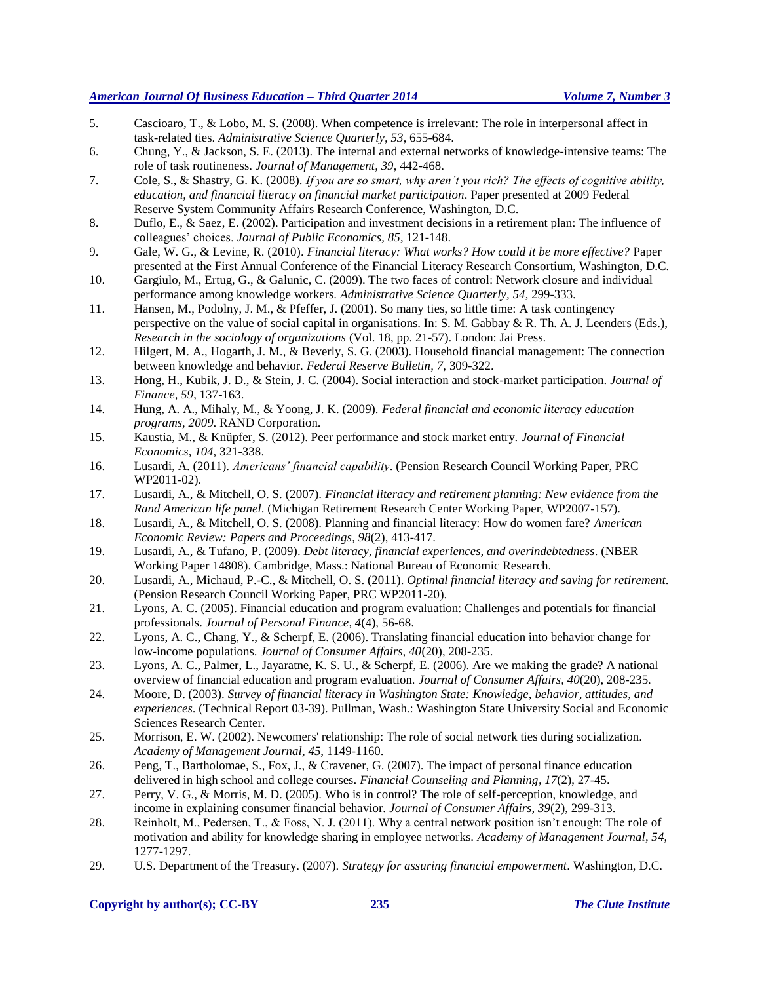# *American Journal Of Business Education – Third Quarter 2014 Volume 7, Number 3*

- 5. Cascioaro, T., & Lobo, M. S. (2008). When competence is irrelevant: The role in interpersonal affect in task-related ties. *Administrative Science Quarterly, 53*, 655-684.
- 6. Chung, Y., & Jackson, S. E. (2013). The internal and external networks of knowledge-intensive teams: The role of task routineness. *Journal of Management, 39*, 442-468.
- 7. Cole, S., & Shastry, G. K. (2008). *If you are so smart, why aren't you rich? The effects of cognitive ability, education, and financial literacy on financial market participation*. Paper presented at 2009 Federal Reserve System Community Affairs Research Conference, Washington, D.C.
- 8. Duflo, E., & Saez, E. (2002). Participation and investment decisions in a retirement plan: The influence of colleagues' choices. *Journal of Public Economics, 85*, 121-148.
- 9. Gale, W. G., & Levine, R. (2010). *Financial literacy: What works? How could it be more effective?* Paper presented at the First Annual Conference of the Financial Literacy Research Consortium, Washington, D.C.
- 10. Gargiulo, M., Ertug, G., & Galunic, C. (2009). The two faces of control: Network closure and individual performance among knowledge workers. *Administrative Science Quarterly, 54*, 299-333.
- 11. Hansen, M., Podolny, J. M., & Pfeffer, J. (2001). So many ties, so little time: A task contingency perspective on the value of social capital in organisations. In: S. M. Gabbay & R. Th. A. J. Leenders (Eds.), *Research in the sociology of organizations* (Vol. 18, pp. 21-57). London: Jai Press.
- 12. Hilgert, M. A., Hogarth, J. M., & Beverly, S. G. (2003). Household financial management: The connection between knowledge and behavior. *Federal Reserve Bulletin, 7*, 309-322.
- 13. Hong, H., Kubik, J. D., & Stein, J. C. (2004). Social interaction and stock-market participation. *Journal of Finance, 59*, 137-163.
- 14. Hung, A. A., Mihaly, M., & Yoong, J. K. (2009). *Federal financial and economic literacy education programs, 2009*. RAND Corporation.
- 15. Kaustia, M., & Knüpfer, S. (2012). Peer performance and stock market entry. *Journal of Financial Economics, 104*, 321-338.
- 16. Lusardi, A. (2011). *Americans' financial capability*. (Pension Research Council Working Paper, PRC WP2011-02).
- 17. Lusardi, A., & Mitchell, O. S. (2007). *Financial literacy and retirement planning: New evidence from the Rand American life panel*. (Michigan Retirement Research Center Working Paper, WP2007-157).
- 18. Lusardi, A., & Mitchell, O. S. (2008). Planning and financial literacy: How do women fare? *American Economic Review: Papers and Proceedings, 98*(2), 413-417.
- 19. Lusardi, A., & Tufano, P. (2009). *Debt literacy, financial experiences, and overindebtedness*. (NBER Working Paper 14808). Cambridge, Mass.: National Bureau of Economic Research.
- 20. Lusardi, A., Michaud, P.-C., & Mitchell, O. S. (2011). *Optimal financial literacy and saving for retirement*. (Pension Research Council Working Paper, PRC WP2011-20).
- 21. Lyons, A. C. (2005). Financial education and program evaluation: Challenges and potentials for financial professionals. *Journal of Personal Finance, 4*(4), 56-68.
- 22. Lyons, A. C., Chang, Y., & Scherpf, E. (2006). Translating financial education into behavior change for low-income populations. *Journal of Consumer Affairs, 40*(20), 208-235.
- 23. Lyons, A. C., Palmer, L., Jayaratne, K. S. U., & Scherpf, E. (2006). Are we making the grade? A national overview of financial education and program evaluation. *Journal of Consumer Affairs, 40*(20), 208-235.
- 24. Moore, D. (2003). *Survey of financial literacy in Washington State: Knowledge, behavior, attitudes, and experiences*. (Technical Report 03-39). Pullman, Wash.: Washington State University Social and Economic Sciences Research Center.
- 25. Morrison, E. W. (2002). Newcomers' relationship: The role of social network ties during socialization. *Academy of Management Journal, 45*, 1149-1160.
- 26. Peng, T., Bartholomae, S., Fox, J., & Cravener, G. (2007). The impact of personal finance education delivered in high school and college courses. *Financial Counseling and Planning, 17*(2), 27-45.
- 27. Perry, V. G., & Morris, M. D. (2005). Who is in control? The role of self-perception, knowledge, and income in explaining consumer financial behavior. *Journal of Consumer Affairs, 39*(2), 299-313.
- 28. Reinholt, M., Pedersen, T., & Foss, N. J. (2011). Why a central network position isn't enough: The role of motivation and ability for knowledge sharing in employee networks. *Academy of Management Journal, 54*, 1277-1297.
- 29. U.S. Department of the Treasury. (2007). *Strategy for assuring financial empowerment*. Washington, D.C.

# **Copyright by author(s)[; CC-BY](http://creativecommons.org/licenses/by/3.0/) 235** *[The Clute Institute](http://www.cluteinstitute.com/)*